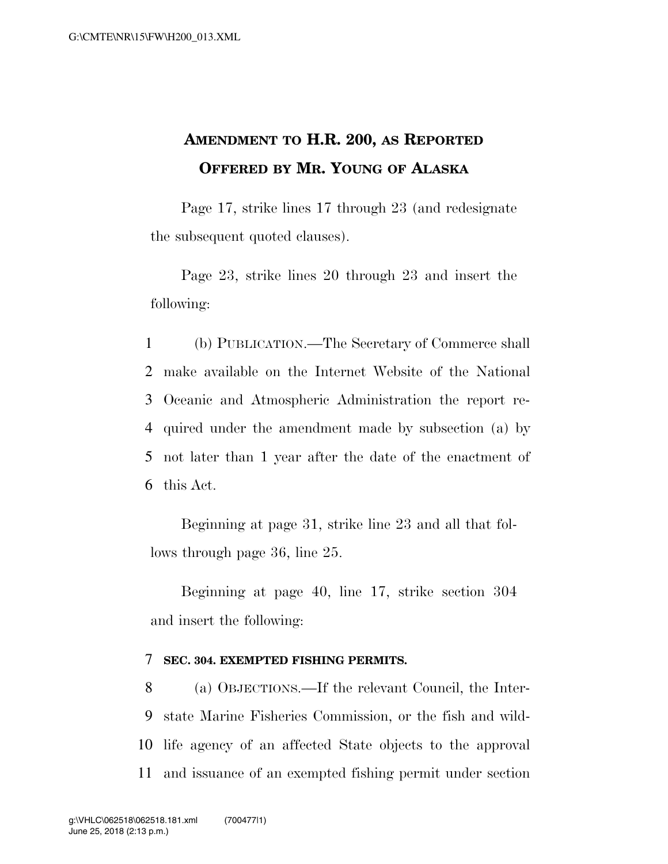# **AMENDMENT TO H.R. 200, AS REPORTED OFFERED BY MR. YOUNG OF ALASKA**

Page 17, strike lines 17 through 23 (and redesignate the subsequent quoted clauses).

Page 23, strike lines 20 through 23 and insert the following:

 (b) PUBLICATION.—The Secretary of Commerce shall make available on the Internet Website of the National Oceanic and Atmospheric Administration the report re- quired under the amendment made by subsection (a) by not later than 1 year after the date of the enactment of this Act.

Beginning at page 31, strike line 23 and all that follows through page 36, line 25.

Beginning at page 40, line 17, strike section 304 and insert the following:

#### 7 **SEC. 304. EXEMPTED FISHING PERMITS.**

 (a) OBJECTIONS.—If the relevant Council, the Inter- state Marine Fisheries Commission, or the fish and wild- life agency of an affected State objects to the approval and issuance of an exempted fishing permit under section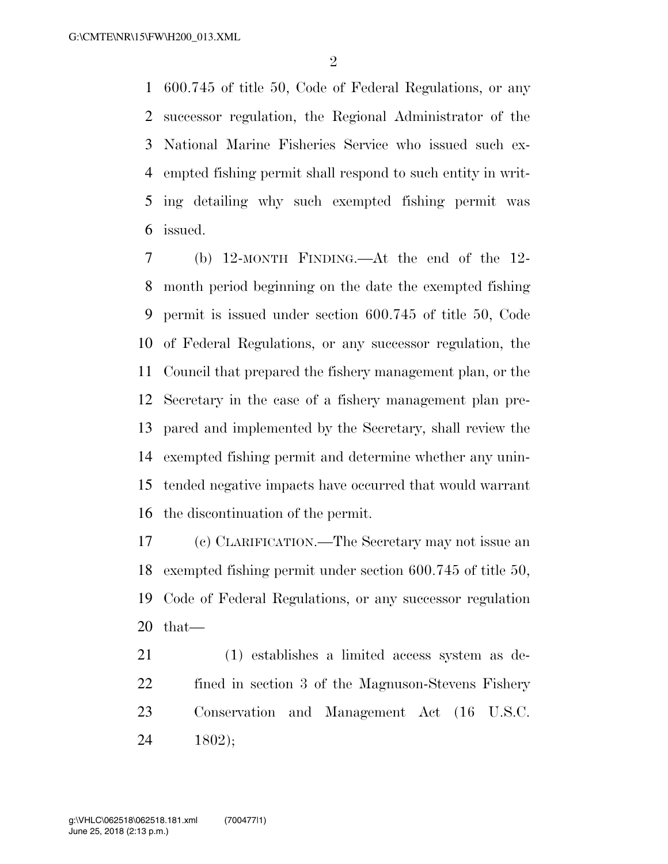600.745 of title 50, Code of Federal Regulations, or any successor regulation, the Regional Administrator of the National Marine Fisheries Service who issued such ex- empted fishing permit shall respond to such entity in writ- ing detailing why such exempted fishing permit was issued.

 (b) 12-MONTH FINDING.—At the end of the 12- month period beginning on the date the exempted fishing permit is issued under section 600.745 of title 50, Code of Federal Regulations, or any successor regulation, the Council that prepared the fishery management plan, or the Secretary in the case of a fishery management plan pre- pared and implemented by the Secretary, shall review the exempted fishing permit and determine whether any unin- tended negative impacts have occurred that would warrant the discontinuation of the permit.

 (c) CLARIFICATION.—The Secretary may not issue an exempted fishing permit under section 600.745 of title 50, Code of Federal Regulations, or any successor regulation that—

 (1) establishes a limited access system as de- fined in section 3 of the Magnuson-Stevens Fishery Conservation and Management Act (16 U.S.C. 1802);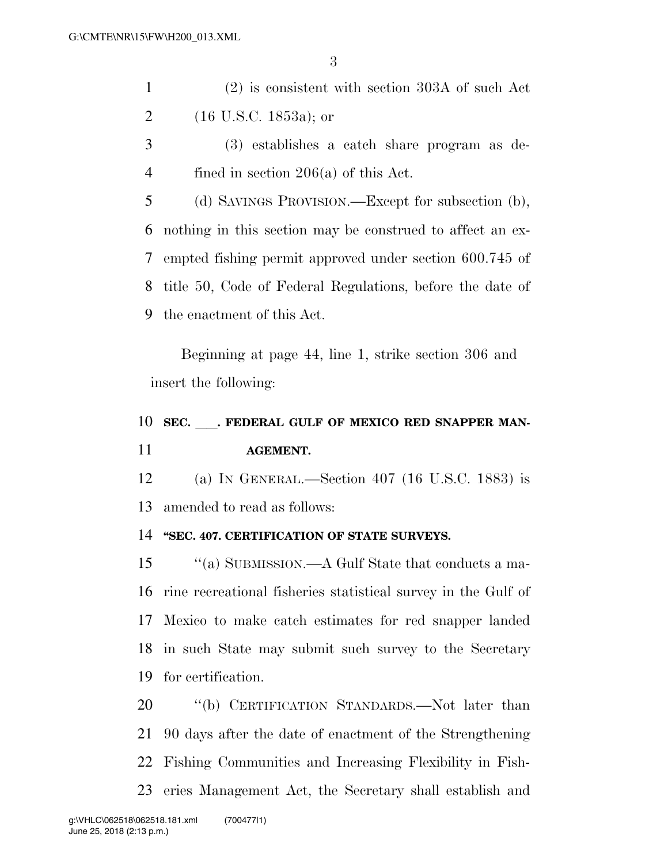- (2) is consistent with section 303A of such Act (16 U.S.C. 1853a); or
- (3) establishes a catch share program as de-fined in section 206(a) of this Act.
- (d) SAVINGS PROVISION.—Except for subsection (b), nothing in this section may be construed to affect an ex- empted fishing permit approved under section 600.745 of title 50, Code of Federal Regulations, before the date of the enactment of this Act.

Beginning at page 44, line 1, strike section 306 and insert the following:

# 10 SEC. FEDERAL GULF OF MEXICO RED SNAPPER MAN-**AGEMENT.**

 (a) IN GENERAL.—Section 407 (16 U.S.C. 1883) is amended to read as follows:

#### **''SEC. 407. CERTIFICATION OF STATE SURVEYS.**

 ''(a) SUBMISSION.—A Gulf State that conducts a ma- rine recreational fisheries statistical survey in the Gulf of Mexico to make catch estimates for red snapper landed in such State may submit such survey to the Secretary for certification.

20 "(b) CERTIFICATION STANDARDS.—Not later than 90 days after the date of enactment of the Strengthening Fishing Communities and Increasing Flexibility in Fish-eries Management Act, the Secretary shall establish and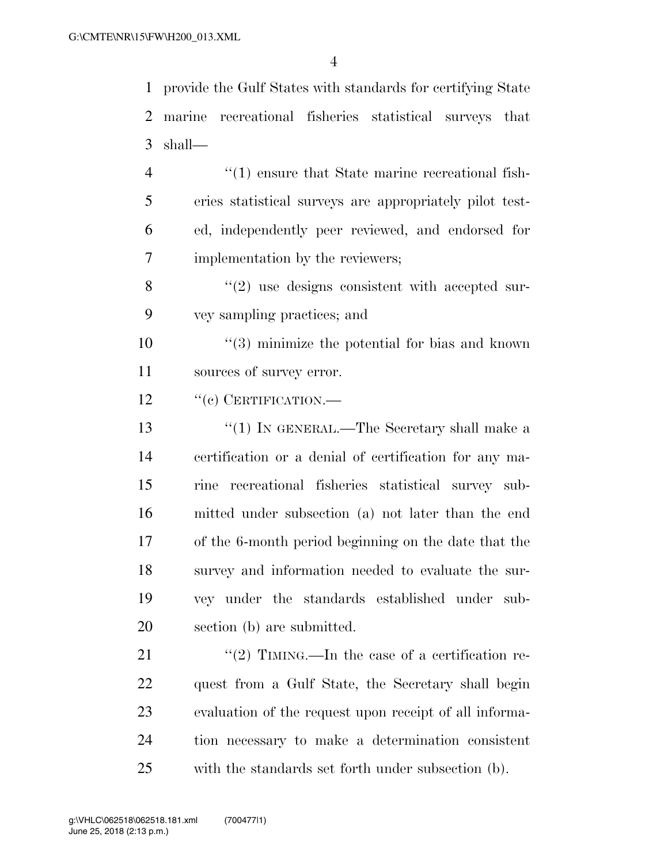provide the Gulf States with standards for certifying State marine recreational fisheries statistical surveys that shall—

 $\frac{4}{1}$  ensure that State marine recreational fish- eries statistical surveys are appropriately pilot test- ed, independently peer reviewed, and endorsed for implementation by the reviewers;

8 "(2) use designs consistent with accepted sur-vey sampling practices; and

 ''(3) minimize the potential for bias and known sources of survey error.

12 "(c) CERTIFICATION.—

13 ''(1) IN GENERAL.—The Secretary shall make a certification or a denial of certification for any ma- rine recreational fisheries statistical survey sub- mitted under subsection (a) not later than the end of the 6-month period beginning on the date that the survey and information needed to evaluate the sur- vey under the standards established under sub-section (b) are submitted.

 $\frac{1}{2}$  TIMING.—In the case of a certification re- quest from a Gulf State, the Secretary shall begin evaluation of the request upon receipt of all informa- tion necessary to make a determination consistent with the standards set forth under subsection (b).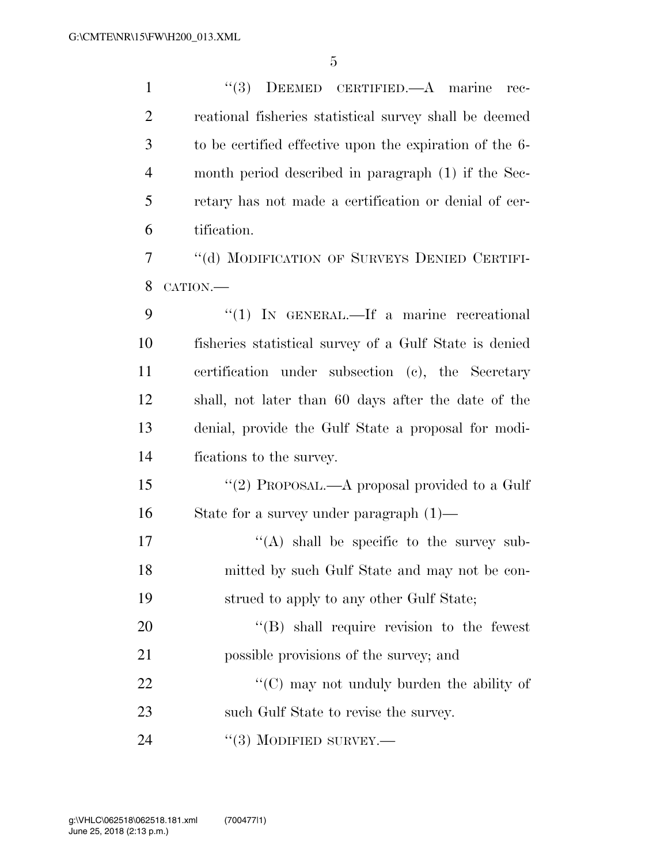| $\mathbf{1}$   | (3)<br>DEEMED CERTIFIED. A marine<br>rec-               |
|----------------|---------------------------------------------------------|
| $\overline{2}$ | reational fisheries statistical survey shall be deemed  |
| 3              | to be certified effective upon the expiration of the 6- |
| 4              | month period described in paragraph (1) if the Sec-     |
| 5              | retary has not made a certification or denial of cer-   |
| 6              | tification.                                             |
| 7              | "(d) MODIFICATION OF SURVEYS DENIED CERTIFI-            |
| 8              | CATION.-                                                |
| 9              | "(1) IN GENERAL.—If a marine recreational               |
| 10             | fisheries statistical survey of a Gulf State is denied  |
| 11             | certification under subsection (c), the Secretary       |
| 12             | shall, not later than 60 days after the date of the     |
| 13             | denial, provide the Gulf State a proposal for modi-     |
| 14             | fications to the survey.                                |
| 15             | "(2) PROPOSAL.—A proposal provided to a Gulf            |
| 16             | State for a survey under paragraph $(1)$ —              |
| 17             | "(A) shall be specific to the survey sub-               |
| 18             | mitted by such Gulf State and may not be con-           |
| 19             | strued to apply to any other Gulf State;                |
| 20             | $\lq\lq$ Shall require revision to the fewest           |
| 21             | possible provisions of the survey; and                  |
| 22             | "(C) may not unduly burden the ability of               |
| 23             | such Gulf State to revise the survey.                   |
| 24             | $\cdot\cdot(3)$ MODIFIED SURVEY.—                       |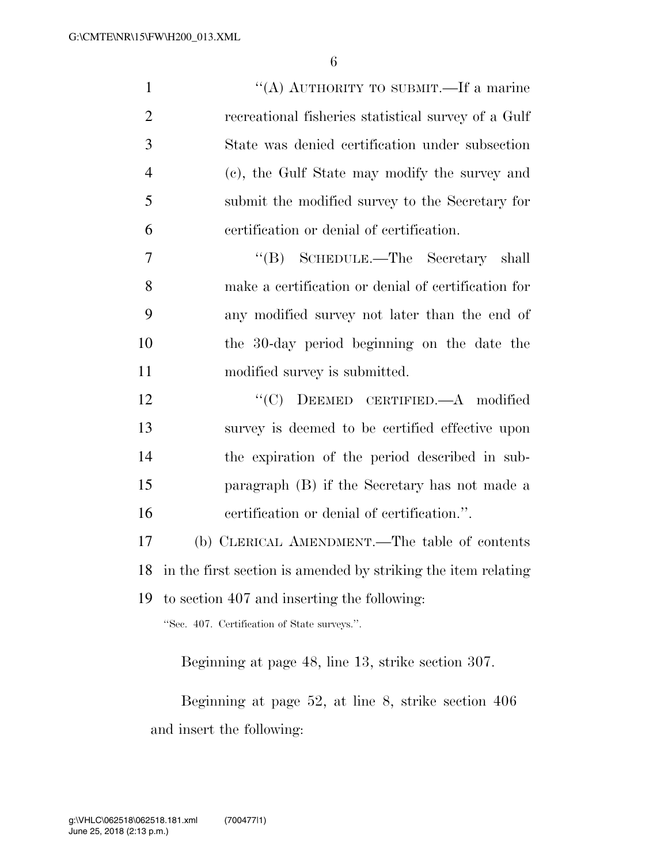| $\mathbf{1}$   | "(A) AUTHORITY TO SUBMIT.—If a marine                            |
|----------------|------------------------------------------------------------------|
| $\overline{2}$ | recreational fisheries statistical survey of a Gulf              |
| 3              | State was denied certification under subsection                  |
| $\overline{4}$ | (c), the Gulf State may modify the survey and                    |
| 5              | submit the modified survey to the Secretary for                  |
| 6              | certification or denial of certification.                        |
| 7              | "(B) SCHEDULE.—The Secretary shall                               |
| 8              | make a certification or denial of certification for              |
| 9              | any modified survey not later than the end of                    |
| 10             | the 30-day period beginning on the date the                      |
| 11             | modified survey is submitted.                                    |
| 12             | "(C) DEEMED CERTIFIED.—A modified                                |
| 13             | survey is deemed to be certified effective upon                  |
| 14             | the expiration of the period described in sub-                   |
| 15             | paragraph (B) if the Secretary has not made a                    |
| 16             | certification or denial of certification.".                      |
| 17             | (b) CLERICAL AMENDMENT.—The table of contents                    |
|                | 18 in the first section is amended by striking the item relating |
| 19             | to section 407 and inserting the following:                      |
|                | "Sec. 407. Certification of State surveys.".                     |
|                |                                                                  |

Beginning at page 48, line 13, strike section 307.

Beginning at page 52, at line 8, strike section 406 and insert the following: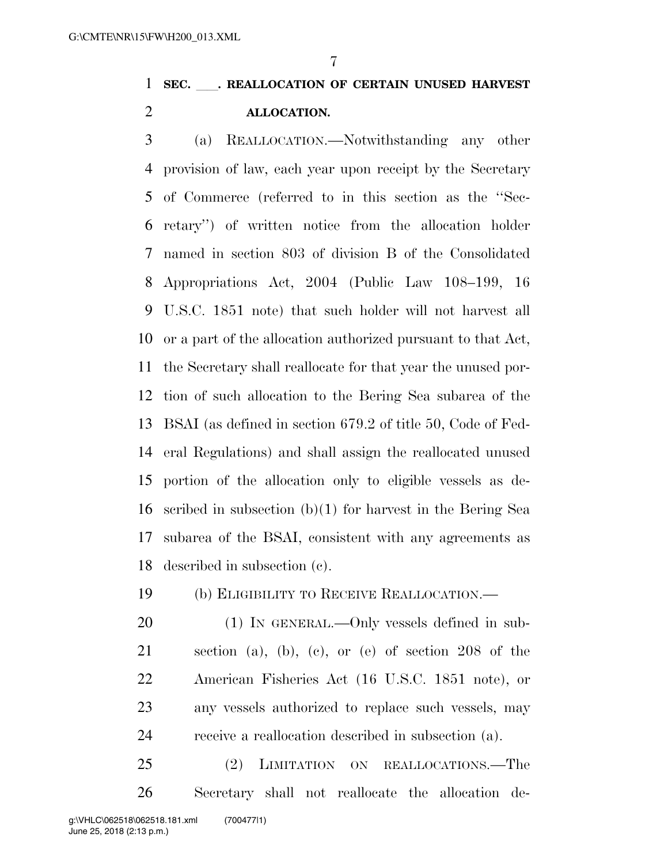### **SEC.** ll**. REALLOCATION OF CERTAIN UNUSED HARVEST ALLOCATION.**

 (a) REALLOCATION.—Notwithstanding any other provision of law, each year upon receipt by the Secretary of Commerce (referred to in this section as the ''Sec- retary'') of written notice from the allocation holder named in section 803 of division B of the Consolidated Appropriations Act, 2004 (Public Law 108–199, 16 U.S.C. 1851 note) that such holder will not harvest all or a part of the allocation authorized pursuant to that Act, the Secretary shall reallocate for that year the unused por- tion of such allocation to the Bering Sea subarea of the BSAI (as defined in section 679.2 of title 50, Code of Fed- eral Regulations) and shall assign the reallocated unused portion of the allocation only to eligible vessels as de- scribed in subsection (b)(1) for harvest in the Bering Sea subarea of the BSAI, consistent with any agreements as described in subsection (c).

(b) ELIGIBILITY TO RECEIVE REALLOCATION.—

 (1) IN GENERAL.—Only vessels defined in sub- section (a), (b), (c), or (e) of section 208 of the American Fisheries Act (16 U.S.C. 1851 note), or any vessels authorized to replace such vessels, may receive a reallocation described in subsection (a).

 (2) LIMITATION ON REALLOCATIONS.—The Secretary shall not reallocate the allocation de-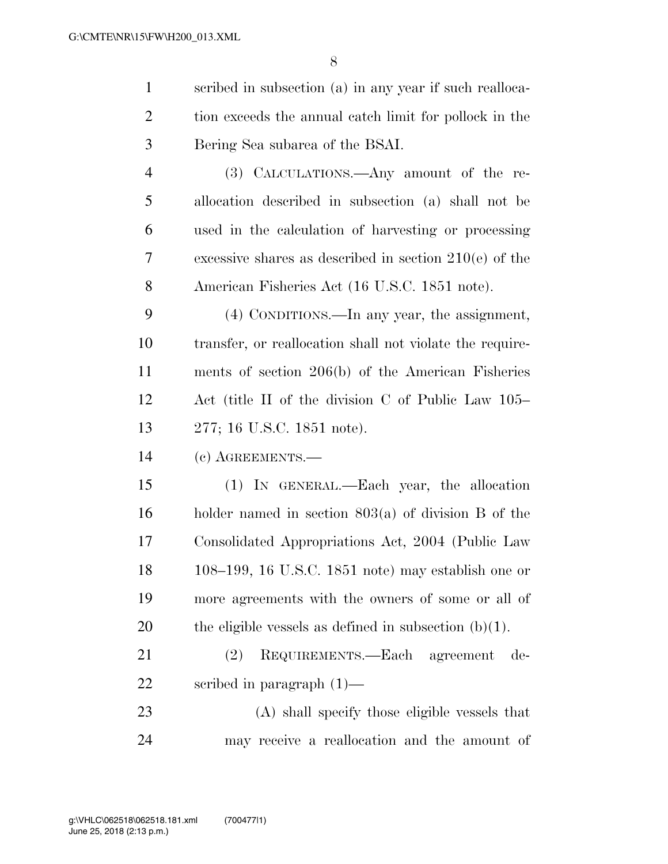scribed in subsection (a) in any year if such realloca-2 tion exceeds the annual catch limit for pollock in the Bering Sea subarea of the BSAI. (3) CALCULATIONS.—Any amount of the re- allocation described in subsection (a) shall not be used in the calculation of harvesting or processing excessive shares as described in section 210(e) of the American Fisheries Act (16 U.S.C. 1851 note). (4) CONDITIONS.—In any year, the assignment, transfer, or reallocation shall not violate the require- ments of section 206(b) of the American Fisheries Act (title II of the division C of Public Law 105– 277; 16 U.S.C. 1851 note). (c) AGREEMENTS.— (1) IN GENERAL.—Each year, the allocation holder named in section 803(a) of division B of the Consolidated Appropriations Act, 2004 (Public Law 108–199, 16 U.S.C. 1851 note) may establish one or more agreements with the owners of some or all of 20 the eligible vessels as defined in subsection  $(b)(1)$ . (2) REQUIREMENTS.—Each agreement de- scribed in paragraph (1)— (A) shall specify those eligible vessels that

may receive a reallocation and the amount of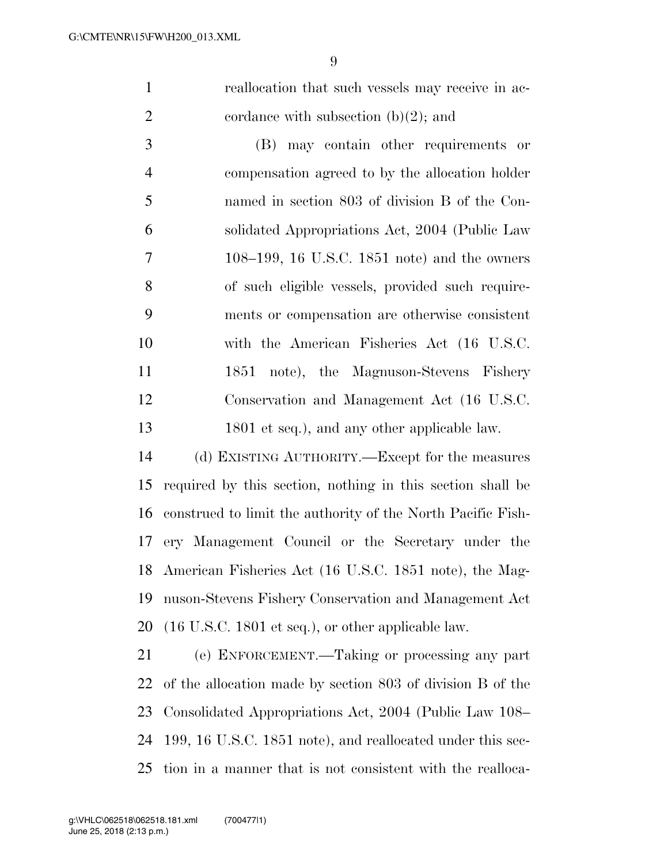reallocation that such vessels may receive in ac-2 cordance with subsection  $(b)(2)$ ; and

 (B) may contain other requirements or compensation agreed to by the allocation holder named in section 803 of division B of the Con- solidated Appropriations Act, 2004 (Public Law 108–199, 16 U.S.C. 1851 note) and the owners of such eligible vessels, provided such require- ments or compensation are otherwise consistent with the American Fisheries Act (16 U.S.C. 11 1851 note), the Magnuson-Stevens Fishery Conservation and Management Act (16 U.S.C. 13 1801 et seq.), and any other applicable law.

 (d) EXISTING AUTHORITY.—Except for the measures required by this section, nothing in this section shall be construed to limit the authority of the North Pacific Fish- ery Management Council or the Secretary under the American Fisheries Act (16 U.S.C. 1851 note), the Mag- nuson-Stevens Fishery Conservation and Management Act (16 U.S.C. 1801 et seq.), or other applicable law.

 (e) ENFORCEMENT.—Taking or processing any part of the allocation made by section 803 of division B of the Consolidated Appropriations Act, 2004 (Public Law 108– 199, 16 U.S.C. 1851 note), and reallocated under this sec-tion in a manner that is not consistent with the realloca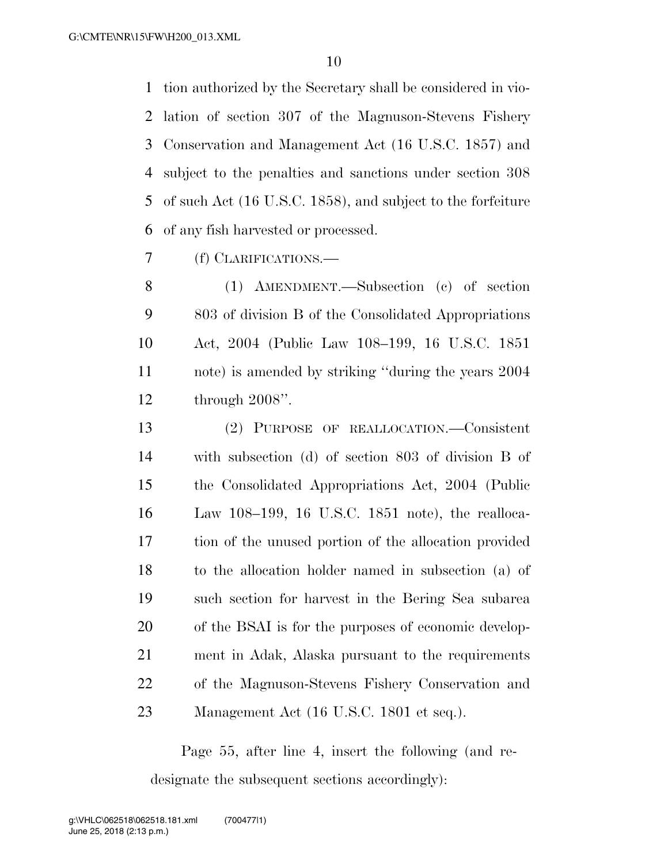tion authorized by the Secretary shall be considered in vio- lation of section 307 of the Magnuson-Stevens Fishery Conservation and Management Act (16 U.S.C. 1857) and subject to the penalties and sanctions under section 308 of such Act (16 U.S.C. 1858), and subject to the forfeiture of any fish harvested or processed.

(f) CLARIFICATIONS.—

 (1) AMENDMENT.—Subsection (c) of section 803 of division B of the Consolidated Appropriations Act, 2004 (Public Law 108–199, 16 U.S.C. 1851 note) is amended by striking ''during the years 2004 through 2008''.

 (2) PURPOSE OF REALLOCATION.—Consistent with subsection (d) of section 803 of division B of the Consolidated Appropriations Act, 2004 (Public Law 108–199, 16 U.S.C. 1851 note), the realloca- tion of the unused portion of the allocation provided to the allocation holder named in subsection (a) of such section for harvest in the Bering Sea subarea of the BSAI is for the purposes of economic develop- ment in Adak, Alaska pursuant to the requirements of the Magnuson-Stevens Fishery Conservation and 23 Management Act (16 U.S.C. 1801 et seq.).

Page 55, after line 4, insert the following (and redesignate the subsequent sections accordingly):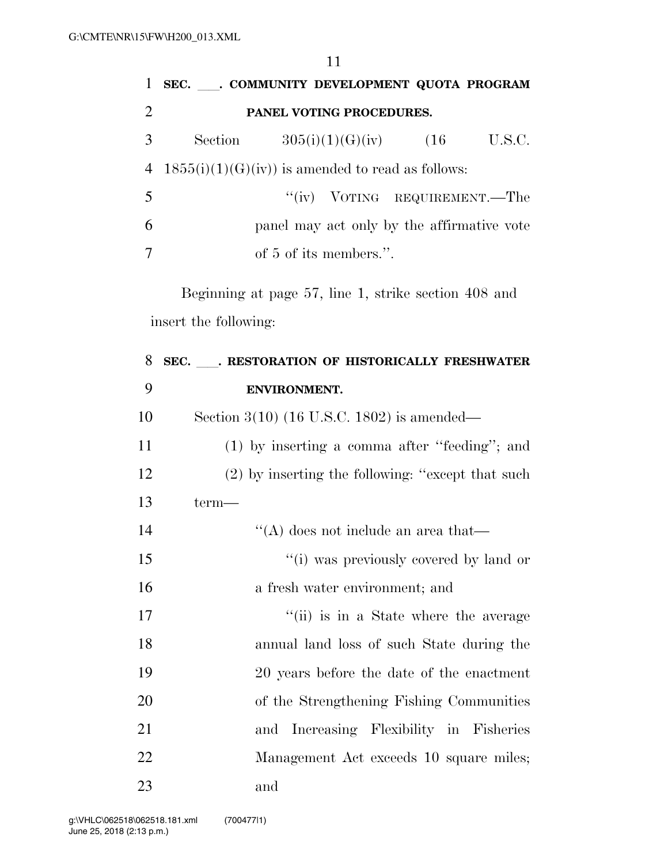| $\mathbf{1}$   | SEC. COMMUNITY DEVELOPMENT QUOTA PROGRAM             |        |
|----------------|------------------------------------------------------|--------|
| 2              | PANEL VOTING PROCEDURES.                             |        |
| 3 <sup>1</sup> | Section $305(i)(1)(G)(iv)$ (16                       | U.S.C. |
|                | 4 $1855(i)(1)(G)(iv)$ is amended to read as follows: |        |
| 5              | "(iv) VOTING REQUIREMENT.—The                        |        |
| 6              | panel may act only by the affirmative vote           |        |
| 7              | of 5 of its members.".                               |        |

Beginning at page 57, line 1, strike section 408 and insert the following:

| 8  | SEC. ___. RESTORATION OF HISTORICALLY FRESHWATER  |
|----|---------------------------------------------------|
| 9  | ENVIRONMENT.                                      |
| 10 | Section $3(10)$ (16 U.S.C. 1802) is amended—      |
| 11 | $(1)$ by inserting a comma after "feeding"; and   |
| 12 | (2) by inserting the following: "except that such |
| 13 | term—                                             |
| 14 | $\lq\lq$ does not include an area that—           |
| 15 | "(i) was previously covered by land or            |
| 16 | a fresh water environment; and                    |
| 17 | "(ii) is in a State where the average             |
| 18 | annual land loss of such State during the         |
| 19 | 20 years before the date of the enactment         |
| 20 | of the Strengthening Fishing Communities          |
| 21 | and Increasing Flexibility in Fisheries           |
| 22 | Management Act exceeds 10 square miles;           |
| 23 | and                                               |